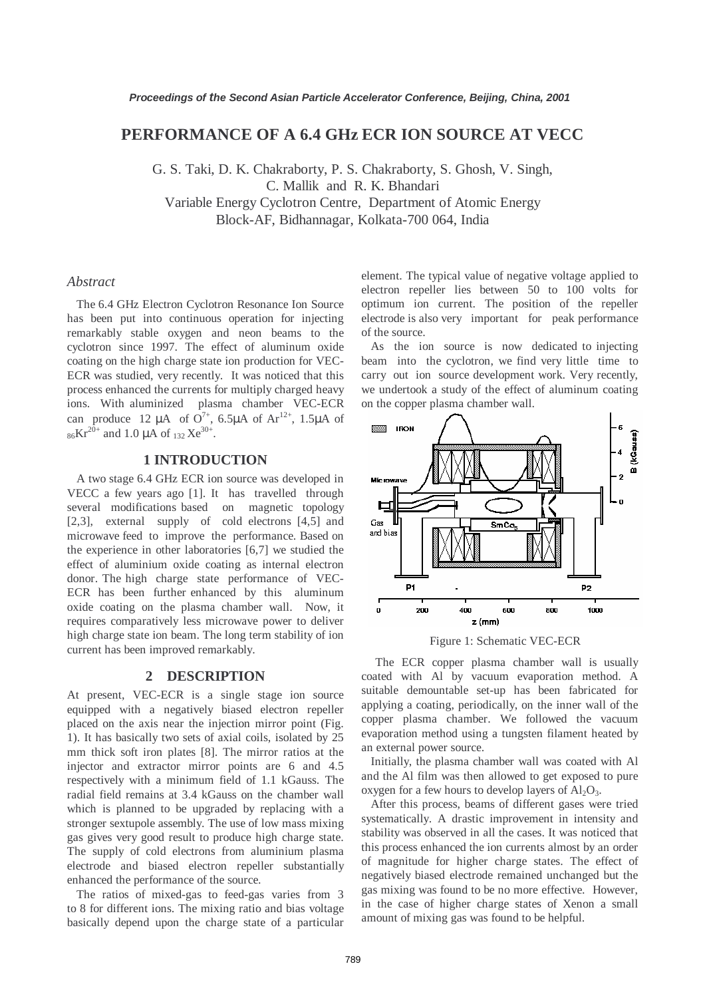# **PERFORMANCE OF A 6.4 GHz ECR ION SOURCE AT VECC**

G. S. Taki, D. K. Chakraborty, P. S. Chakraborty, S. Ghosh, V. Singh, C. Mallik and R. K. Bhandari Variable Energy Cyclotron Centre, Department of Atomic Energy Block-AF, Bidhannagar, Kolkata-700 064, India

### *Abstract*

 The 6.4 GHz Electron Cyclotron Resonance Ion Source has been put into continuous operation for injecting remarkably stable oxygen and neon beams to the cyclotron since 1997. The effect of aluminum oxide coating on the high charge state ion production for VEC-ECR was studied, very recently. It was noticed that this process enhanced the currents for multiply charged heavy ions. With aluminized plasma chamber VEC-ECR can produce 12  $\mu$ A of O<sup>7+</sup>, 6.5 $\mu$ A of Ar<sup>12+</sup>, 1.5 $\mu$ A of  $_{86}Kr^{20+}$  and 1.0 µA of  $_{132}Xe^{30+}$ .

### **1 INTRODUCTION**

 A two stage 6.4 GHz ECR ion source was developed in VECC a few years ago [1]. It has travelled through several modifications based on magnetic topology [2,3], external supply of cold electrons [4,5] and microwave feed to improve the performance. Based on the experience in other laboratories [6,7] we studied the effect of aluminium oxide coating as internal electron donor. The high charge state performance of VEC-ECR has been further enhanced by this aluminum oxide coating on the plasma chamber wall. Now, it requires comparatively less microwave power to deliver high charge state ion beam. The long term stability of ion current has been improved remarkably.

#### **2 DESCRIPTION**

At present, VEC-ECR is a single stage ion source equipped with a negatively biased electron repeller placed on the axis near the injection mirror point (Fig. 1). It has basically two sets of axial coils, isolated by 25 mm thick soft iron plates [8]. The mirror ratios at the injector and extractor mirror points are 6 and 4.5 respectively with a minimum field of 1.1 kGauss. The radial field remains at 3.4 kGauss on the chamber wall which is planned to be upgraded by replacing with a stronger sextupole assembly. The use of low mass mixing gas gives very good result to produce high charge state. The supply of cold electrons from aluminium plasma electrode and biased electron repeller substantially enhanced the performance of the source.

 The ratios of mixed-gas to feed-gas varies from 3 to 8 for different ions. The mixing ratio and bias voltage basically depend upon the charge state of a particular element. The typical value of negative voltage applied to electron repeller lies between 50 to 100 volts for optimum ion current. The position of the repeller electrode is also very important for peak performance of the source.

 As the ion source is now dedicated to injecting beam into the cyclotron, we find very little time to carry out ion source development work. Very recently, we undertook a study of the effect of aluminum coating on the copper plasma chamber wall.





 The ECR copper plasma chamber wall is usually coated with Al by vacuum evaporation method. A suitable demountable set-up has been fabricated for applying a coating, periodically, on the inner wall of the copper plasma chamber. We followed the vacuum evaporation method using a tungsten filament heated by an external power source.

 Initially, the plasma chamber wall was coated with Al and the Al film was then allowed to get exposed to pure oxygen for a few hours to develop layers of  $Al_2O_3$ .

 After this process, beams of different gases were tried systematically. A drastic improvement in intensity and stability was observed in all the cases. It was noticed that this process enhanced the ion currents almost by an order of magnitude for higher charge states. The effect of negatively biased electrode remained unchanged but the gas mixing was found to be no more effective. However, in the case of higher charge states of Xenon a small amount of mixing gas was found to be helpful.